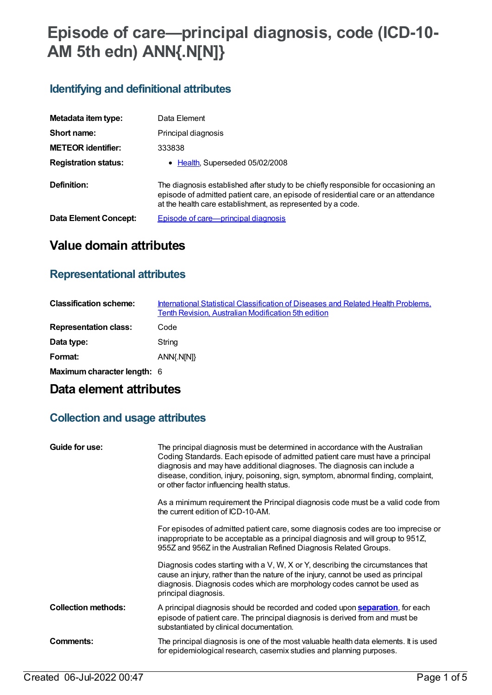# **Episode of care—principal diagnosis, code (ICD-10- AM 5th edn) ANN{.N[N]}**

## **Identifying and definitional attributes**

| Metadata item type:         | Data Element                                                                                                                                                                                                                           |
|-----------------------------|----------------------------------------------------------------------------------------------------------------------------------------------------------------------------------------------------------------------------------------|
| Short name:                 | Principal diagnosis                                                                                                                                                                                                                    |
| <b>METEOR identifier:</b>   | 333838                                                                                                                                                                                                                                 |
| <b>Registration status:</b> | • Health, Superseded 05/02/2008                                                                                                                                                                                                        |
| Definition:                 | The diagnosis established after study to be chiefly responsible for occasioning an<br>episode of admitted patient care, an episode of residential care or an attendance<br>at the health care establishment, as represented by a code. |
| Data Element Concept:       | Episode of care-principal diagnosis                                                                                                                                                                                                    |

# **Value domain attributes**

#### **Representational attributes**

| <b>Classification scheme:</b> | International Statistical Classification of Diseases and Related Health Problems,<br><b>Tenth Revision, Australian Modification 5th edition</b> |
|-------------------------------|-------------------------------------------------------------------------------------------------------------------------------------------------|
| <b>Representation class:</b>  | Code                                                                                                                                            |
| Data type:                    | String                                                                                                                                          |
| Format:                       | ANN{.N[N]}                                                                                                                                      |
| Maximum character length: 6   |                                                                                                                                                 |

# **Data element attributes**

### **Collection and usage attributes**

| Guide for use:             | The principal diagnosis must be determined in accordance with the Australian<br>Coding Standards. Each episode of admitted patient care must have a principal<br>diagnosis and may have additional diagnoses. The diagnosis can include a<br>disease, condition, injury, poisoning, sign, symptom, abnormal finding, complaint,<br>or other factor influencing health status. |
|----------------------------|-------------------------------------------------------------------------------------------------------------------------------------------------------------------------------------------------------------------------------------------------------------------------------------------------------------------------------------------------------------------------------|
|                            | As a minimum requirement the Principal diagnosis code must be a valid code from<br>the current edition of ICD-10-AM.                                                                                                                                                                                                                                                          |
|                            | For episodes of admitted patient care, some diagnosis codes are too imprecise or<br>inappropriate to be acceptable as a principal diagnosis and will group to 951Z,<br>955Z and 956Z in the Australian Refined Diagnosis Related Groups.                                                                                                                                      |
|                            | Diagnosis codes starting with a V, W, X or Y, describing the circumstances that<br>cause an injury, rather than the nature of the injury, cannot be used as principal<br>diagnosis. Diagnosis codes which are morphology codes cannot be used as<br>principal diagnosis.                                                                                                      |
| <b>Collection methods:</b> | A principal diagnosis should be recorded and coded upon <b>separation</b> , for each<br>episode of patient care. The principal diagnosis is derived from and must be<br>substantiated by clinical documentation.                                                                                                                                                              |
| Comments:                  | The principal diagnosis is one of the most valuable health data elements. It is used<br>for epidemiological research, casemix studies and planning purposes.                                                                                                                                                                                                                  |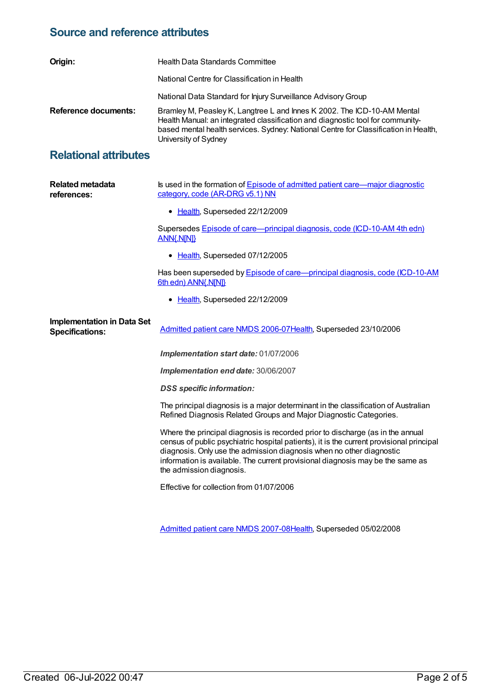#### **Source and reference attributes**

| Origin:              | Health Data Standards Committee                                                                                                                                                                                                                                          |
|----------------------|--------------------------------------------------------------------------------------------------------------------------------------------------------------------------------------------------------------------------------------------------------------------------|
|                      | National Centre for Classification in Health                                                                                                                                                                                                                             |
|                      | National Data Standard for Injury Surveillance Advisory Group                                                                                                                                                                                                            |
| Reference documents: | Bramley M, Peasley K, Langtree L and Innes K 2002. The ICD-10-AM Mental<br>Health Manual: an integrated classification and diagnostic tool for community-<br>based mental health services. Sydney: National Centre for Classification in Health,<br>University of Sydney |

### **Relational attributes**

| <b>Related metadata</b><br>references:                      | Is used in the formation of Episode of admitted patient care—major diagnostic<br>category, code (AR-DRG v5.1) NN                                                                                                                                                                                                                                                 |
|-------------------------------------------------------------|------------------------------------------------------------------------------------------------------------------------------------------------------------------------------------------------------------------------------------------------------------------------------------------------------------------------------------------------------------------|
|                                                             | • Health, Superseded 22/12/2009                                                                                                                                                                                                                                                                                                                                  |
|                                                             | Supersedes Episode of care-principal diagnosis, code (ICD-10-AM 4th edn)<br><b>ANN{.N[N]}</b>                                                                                                                                                                                                                                                                    |
|                                                             | • Health, Superseded 07/12/2005                                                                                                                                                                                                                                                                                                                                  |
|                                                             | Has been superseded by <b>Episode of care—principal diagnosis, code (ICD-10-AM</b><br>6th edn) ANN{.N[N]}                                                                                                                                                                                                                                                        |
|                                                             | • Health, Superseded 22/12/2009                                                                                                                                                                                                                                                                                                                                  |
| <b>Implementation in Data Set</b><br><b>Specifications:</b> | Admitted patient care NMDS 2006-07Health, Superseded 23/10/2006                                                                                                                                                                                                                                                                                                  |
|                                                             | Implementation start date: 01/07/2006                                                                                                                                                                                                                                                                                                                            |
|                                                             | Implementation end date: 30/06/2007                                                                                                                                                                                                                                                                                                                              |
|                                                             | <b>DSS</b> specific information:                                                                                                                                                                                                                                                                                                                                 |
|                                                             | The principal diagnosis is a major determinant in the classification of Australian<br>Refined Diagnosis Related Groups and Major Diagnostic Categories.                                                                                                                                                                                                          |
|                                                             | Where the principal diagnosis is recorded prior to discharge (as in the annual<br>census of public psychiatric hospital patients), it is the current provisional principal<br>diagnosis. Only use the admission diagnosis when no other diagnostic<br>information is available. The current provisional diagnosis may be the same as<br>the admission diagnosis. |
|                                                             | Effective for collection from 01/07/2006                                                                                                                                                                                                                                                                                                                         |
|                                                             |                                                                                                                                                                                                                                                                                                                                                                  |

[Admitted](https://meteor.aihw.gov.au/content/339089) patient care NMDS 2007-08[Health](https://meteor.aihw.gov.au/RegistrationAuthority/12), Superseded 05/02/2008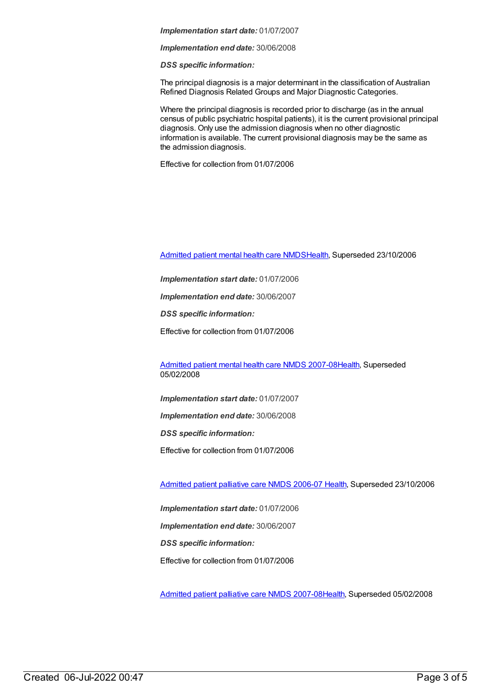#### *Implementation start date:* 01/07/2007

*Implementation end date:* 30/06/2008

*DSS specific information:*

The principal diagnosis is a major determinant in the classification of Australian Refined Diagnosis Related Groups and Major Diagnostic Categories.

Where the principal diagnosis is recorded prior to discharge (as in the annual census of public psychiatric hospital patients), it is the current provisional principal diagnosis. Only use the admission diagnosis when no other diagnostic information is available. The current provisional diagnosis may be the same as the admission diagnosis.

Effective for collection from 01/07/2006

[Admitted](https://meteor.aihw.gov.au/content/334031) patient mental health care NMD[SHealth](https://meteor.aihw.gov.au/RegistrationAuthority/12), Superseded 23/10/2006

*Implementation start date:* 01/07/2006

*Implementation end date:* 30/06/2007

*DSS specific information:*

Effective for collection from 01/07/2006

[Admitted](https://meteor.aihw.gov.au/content/345110) patient mental health care NMDS 2007-08[Health](https://meteor.aihw.gov.au/RegistrationAuthority/12), Superseded 05/02/2008

*Implementation start date:* 01/07/2007

*Implementation end date:* 30/06/2008

*DSS specific information:*

Effective for collection from 01/07/2006

[Admitted](https://meteor.aihw.gov.au/content/334050) patient palliative care NMDS 2006-07 [Health](https://meteor.aihw.gov.au/RegistrationAuthority/12), Superseded 23/10/2006

*Implementation start date:* 01/07/2006 *Implementation end date:* 30/06/2007 *DSS specific information:* Effective for collection from 01/07/2006

[Admitted](https://meteor.aihw.gov.au/content/339098) patient palliative care NMDS 2007-08[Health](https://meteor.aihw.gov.au/RegistrationAuthority/12), Superseded 05/02/2008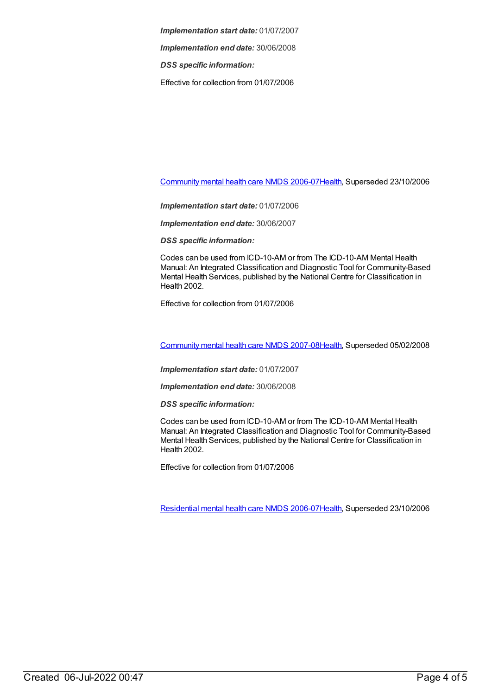*Implementation start date:* 01/07/2007

*Implementation end date:* 30/06/2008

*DSS specific information:*

Effective for collection from 01/07/2006

[Community](https://meteor.aihw.gov.au/content/334069) mental health care NMDS 2006-0[7Health](https://meteor.aihw.gov.au/RegistrationAuthority/12), Superseded 23/10/2006

*Implementation start date:* 01/07/2006

*Implementation end date:* 30/06/2007

*DSS specific information:*

Codes can be used from ICD-10-AM or from The ICD-10-AM Mental Health Manual: An Integrated Classification and Diagnostic Tool for Community-Based Mental Health Services, published by the National Centre for Classification in Health 2002.

Effective for collection from 01/07/2006

[Community](https://meteor.aihw.gov.au/content/345116) mental health care NMDS 2007-0[8Health](https://meteor.aihw.gov.au/RegistrationAuthority/12), Superseded 05/02/2008

*Implementation start date:* 01/07/2007

*Implementation end date:* 30/06/2008

*DSS specific information:*

Codes can be used from ICD-10-AM or from The ICD-10-AM Mental Health Manual: An Integrated Classification and Diagnostic Tool for Community-Based Mental Health Services, published by the National Centre for Classification in Health 2002.

Effective for collection from 01/07/2006

[Residential](https://meteor.aihw.gov.au/content/334067) mental health care NMDS 2006-0[7Health](https://meteor.aihw.gov.au/RegistrationAuthority/12), Superseded 23/10/2006